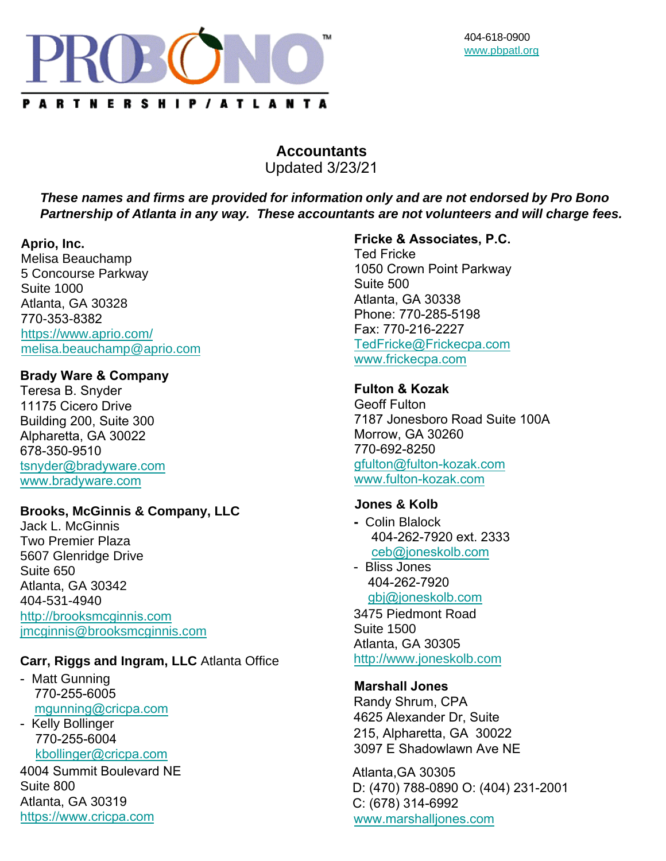

# **Accountants**  Updated 3/23/21

*These names and firms are provided for information only and are not endorsed by Pro Bono Partnership of Atlanta in any way. These accountants are not volunteers and will charge fees.*

#### **Aprio, Inc.**

Melisa Beauchamp 5 Concourse Parkway Suite 1000 Atlanta, GA 30328 770-353-8382 <https://www.aprio.com/> [melisa.beauchamp@aprio.com](mailto:melisa.beauchamp@aprio.com)

#### **Brady Ware & Company**

Teresa B. Snyder 11175 Cicero Drive Building 200, Suite 300 Alpharetta, GA 30022 678-350-9510 tsnyder@bradyware.com www.bradyware.com

# **Brooks, McGinnis & Company, LLC**

Jack L. McGinnis Two Premier Plaza 5607 Glenridge Drive Suite 650 Atlanta, GA 30342 404-531-4940 [http://brooksmcginnis.com](mailto:dduke@bradyware.com) [j](mailto:jmcginnis@brooksmcginnis.com)[mcginnis@brooksmcginnis.c](https://www.bradyware.com/)[om](mailto:jmcginnis@brooksmcginnis.com)

# **[Carr, Riggs and Ingram, L](http://brooksmcginnis.com/)LC** Atlanta Office

- Matt Gunning 770-255-6005 mgunning@cricpa.com

- Kelly Bollinger 770-255-6004 kbollinger@cricpa.com

4004 Summit Boulevard NE Suite 800 Atlanta, GA 30319 [https://www.cricpa.com](mailto:kbollinger@cricpa.com)

#### **Fricke & Associates, P.C.**

Ted Fricke 1050 Crown Point Parkway Suite 500 Atlanta, GA 30338 Phone: 770-285-5198 Fax: 770-216-2227 [TedFricke@Frickecpa.co](mailto:dcarpenter@cricpa.com)m [www.frickecpa.com](https://www.cricpa.com/) 

#### **Fulton & Kozak**

Geoff Fulton 7187 Jonesboro Road Suite 100A Morrow, GA 30260 770-692-8250 gfulton@fulton-kozak.com www.fulton-kozak.com

#### **[Jones & Kolb](mailto:TedFricke@Frickecpa.com)**

- **-** Colin Blalock 404-262-7920 ext. 2333 ceb@joneskolb.com
- Bliss Jones 404-262-7920 gbj@joneskolb.com 3475 Piedmont Road

Suite 1500 [Atlanta, GA 30305](mailto:ceb@joneskolb.com)  [http://www.joneskolb.com](http://www.joneskolb.com/)

#### **Marshall Jones**

Randy Shrum, CPA 4625 Alexander Dr, Suite 215, Alpharetta, GA 30022 3097 E Shadowlawn Ave NE

Atlanta,GA 30305 D: (470) 788-0890 O: (404) 231-2001 [C: \(678\) 314-6992](mailto:webmaster@mjcpa.com) <www.marshalljones.com>